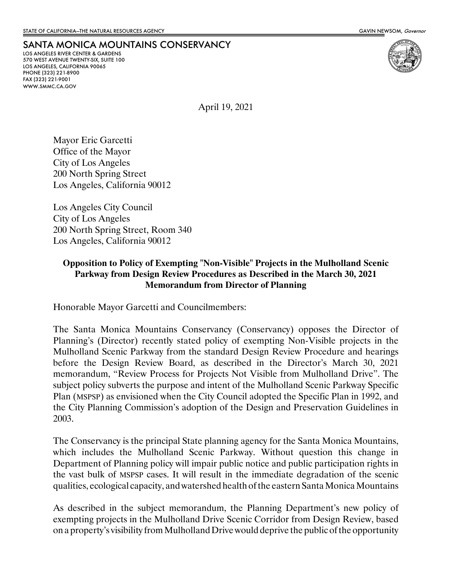## SANTA MONICA MOUNTAINS CONSERVANCY

LOS ANGELES RIVER CENTER & GARDENS 570 WEST AVENUE TWENTY-SIX, SUITE 100 LOS ANGELES, CALIFORNIA 90065 PHONE (323) 221-8900 FAX (323) 221-9001 WWW.SMMC.CA.GOV



April 19, 2021

Mayor Eric Garcetti Office of the Mayor City of Los Angeles 200 North Spring Street Los Angeles, California 90012

Los Angeles City Council City of Los Angeles 200 North Spring Street, Room 340 Los Angeles, California 90012

## **Opposition to Policy of Exempting "Non-Visible" Projects in the Mulholland Scenic Parkway from Design Review Procedures as Described in the March 30, 2021 Memorandum from Director of Planning**

Honorable Mayor Garcetti and Councilmembers:

The Santa Monica Mountains Conservancy (Conservancy) opposes the Director of Planning's (Director) recently stated policy of exempting Non-Visible projects in the Mulholland Scenic Parkway from the standard Design Review Procedure and hearings before the Design Review Board, as described in the Director's March 30, 2021 memorandum, "Review Process for Projects Not Visible from Mulholland Drive". The subject policy subverts the purpose and intent of the Mulholland Scenic Parkway Specific Plan (MSPSP) as envisioned when the City Council adopted the Specific Plan in 1992, and the City Planning Commission's adoption of the Design and Preservation Guidelines in 2003.

The Conservancy is the principal State planning agency for the Santa Monica Mountains, which includes the Mulholland Scenic Parkway. Without question this change in Department of Planning policy will impair public notice and public participation rights in the vast bulk of MSPSP cases. It will result in the immediate degradation of the scenic qualities, ecological capacity, and watershed health of the eastern Santa Monica Mountains

As described in the subject memorandum, the Planning Department's new policy of exempting projects in the Mulholland Drive Scenic Corridor from Design Review, based on a property's visibility from Mulholland Drive would deprive the public of the opportunity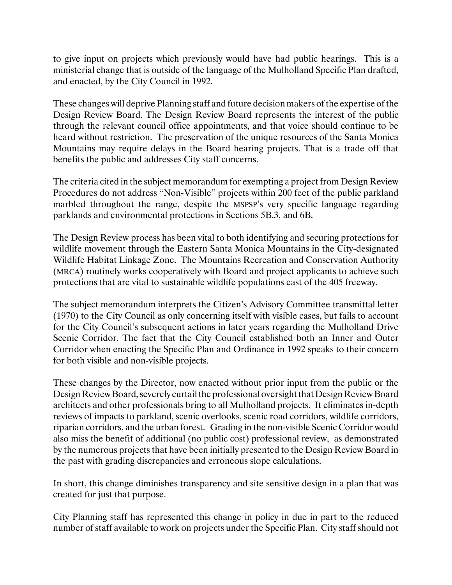to give input on projects which previously would have had public hearings. This is a ministerial change that is outside of the language of the Mulholland Specific Plan drafted, and enacted, by the City Council in 1992.

These changes will deprive Planning staff and future decision makers of the expertise of the Design Review Board. The Design Review Board represents the interest of the public through the relevant council office appointments, and that voice should continue to be heard without restriction. The preservation of the unique resources of the Santa Monica Mountains may require delays in the Board hearing projects. That is a trade off that benefits the public and addresses City staff concerns.

The criteria cited in the subject memorandum for exempting a project from Design Review Procedures do not address "Non-Visible" projects within 200 feet of the public parkland marbled throughout the range, despite the MSPSP's very specific language regarding parklands and environmental protections in Sections 5B.3, and 6B.

The Design Review process has been vital to both identifying and securing protections for wildlife movement through the Eastern Santa Monica Mountains in the City-designated Wildlife Habitat Linkage Zone. The Mountains Recreation and Conservation Authority (MRCA) routinely works cooperatively with Board and project applicants to achieve such protections that are vital to sustainable wildlife populations east of the 405 freeway.

The subject memorandum interprets the Citizen's Advisory Committee transmittal letter (1970) to the City Council as only concerning itself with visible cases, but fails to account for the City Council's subsequent actions in later years regarding the Mulholland Drive Scenic Corridor. The fact that the City Council established both an Inner and Outer Corridor when enacting the Specific Plan and Ordinance in 1992 speaks to their concern for both visible and non-visible projects.

These changes by the Director, now enacted without prior input from the public or the Design Review Board, severely curtail the professional oversight that Design Review Board architects and other professionals bring to all Mulholland projects. It eliminates in-depth reviews of impacts to parkland, scenic overlooks, scenic road corridors, wildlife corridors, riparian corridors, and the urban forest. Grading in the non-visible Scenic Corridor would also miss the benefit of additional (no public cost) professional review, as demonstrated by the numerous projects that have been initially presented to the Design Review Board in the past with grading discrepancies and erroneous slope calculations.

In short, this change diminishes transparency and site sensitive design in a plan that was created for just that purpose.

City Planning staff has represented this change in policy in due in part to the reduced number of staff available to work on projects under the Specific Plan. City staff should not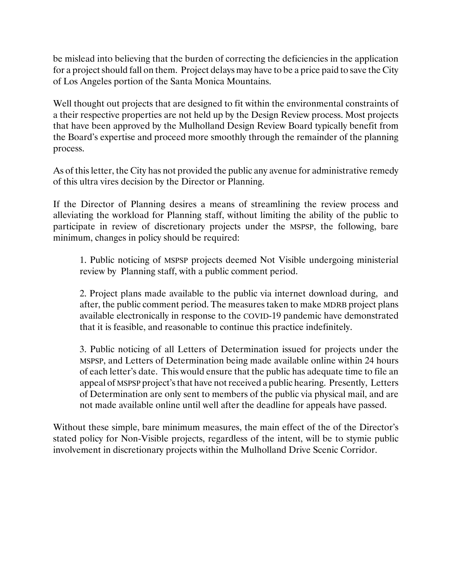be mislead into believing that the burden of correcting the deficiencies in the application for a project should fall on them. Project delays may have to be a price paid to save the City of Los Angeles portion of the Santa Monica Mountains.

Well thought out projects that are designed to fit within the environmental constraints of a their respective properties are not held up by the Design Review process. Most projects that have been approved by the Mulholland Design Review Board typically benefit from the Board's expertise and proceed more smoothly through the remainder of the planning process.

As of this letter, the City has not provided the public any avenue for administrative remedy of this ultra vires decision by the Director or Planning.

If the Director of Planning desires a means of streamlining the review process and alleviating the workload for Planning staff, without limiting the ability of the public to participate in review of discretionary projects under the MSPSP, the following, bare minimum, changes in policy should be required:

1. Public noticing of MSPSP projects deemed Not Visible undergoing ministerial review by Planning staff, with a public comment period.

2. Project plans made available to the public via internet download during, and after, the public comment period. The measures taken to make MDRB project plans available electronically in response to the COVID-19 pandemic have demonstrated that it is feasible, and reasonable to continue this practice indefinitely.

3. Public noticing of all Letters of Determination issued for projects under the MSPSP, and Letters of Determination being made available online within 24 hours of each letter's date. This would ensure that the public has adequate time to file an appeal of MSPSP project's that have not received a public hearing. Presently, Letters of Determination are only sent to members of the public via physical mail, and are not made available online until well after the deadline for appeals have passed.

Without these simple, bare minimum measures, the main effect of the of the Director's stated policy for Non-Visible projects, regardless of the intent, will be to stymie public involvement in discretionary projects within the Mulholland Drive Scenic Corridor.